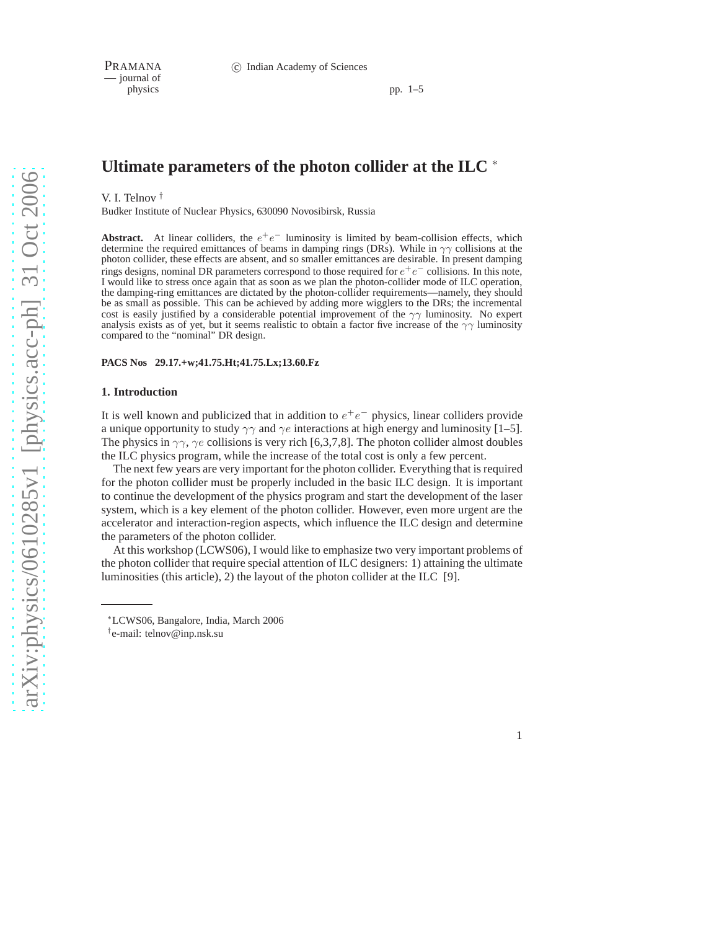— journal of

pp. 1–5

# **Ultimate parameters of the photon collider at the ILC** <sup>∗</sup>

V. I. Telnov †

Budker Institute of Nuclear Physics, 630090 Novosibirsk, Russia

**Abstract.** At linear colliders, the  $e^+e^-$  luminosity is limited by beam-collision effects, which determine the required emittances of beams in damping rings (DRs). While in  $\gamma\gamma$  collisions at the photon collider, these effects are absent, and so smaller emittances are desirable. In present damping rings designs, nominal DR parameters correspond to those required for  $e^+e^-$  collisions. In this note, I would like to stress once again that as soon as we plan the photon-collider mode of ILC operation, the damping-ring emittances are dictated by the photon-collider requirements—namely, they should be as small as possible. This can be achieved by adding more wigglers to the DRs; the incremental cost is easily justified by a considerable potential improvement of the  $\gamma\gamma$  luminosity. No expert analysis exists as of yet, but it seems realistic to obtain a factor five increase of the  $\gamma\gamma$  luminosity compared to the "nominal" DR design.

### **PACS Nos 29.17.+w;41.75.Ht;41.75.Lx;13.60.Fz**

#### **1. Introduction**

It is well known and publicized that in addition to  $e^+e^-$  physics, linear colliders provide a unique opportunity to study  $\gamma\gamma$  and  $\gamma e$  interactions at high energy and luminosity [1–5]. The physics in  $\gamma\gamma$ ,  $\gamma e$  collisions is very rich [6,3,7,8]. The photon collider almost doubles the ILC physics program, while the increase of the total cost is only a few percent.

The next few years are very important for the photon collider. Everything that is required for the photon collider must be properly included in the basic ILC design. It is important to continue the development of the physics program and start the development of the laser system, which is a key element of the photon collider. However, even more urgent are the accelerator and interaction-region aspects, which influence the ILC design and determine the parameters of the photon collider.

At this workshop (LCWS06), I would like to emphasize two very important problems of the photon collider that require special attention of ILC designers: 1) attaining the ultimate luminosities (this article), 2) the layout of the photon collider at the ILC [9].

1

<sup>∗</sup>LCWS06, Bangalore, India, March 2006

<sup>†</sup> e-mail: telnov@inp.nsk.su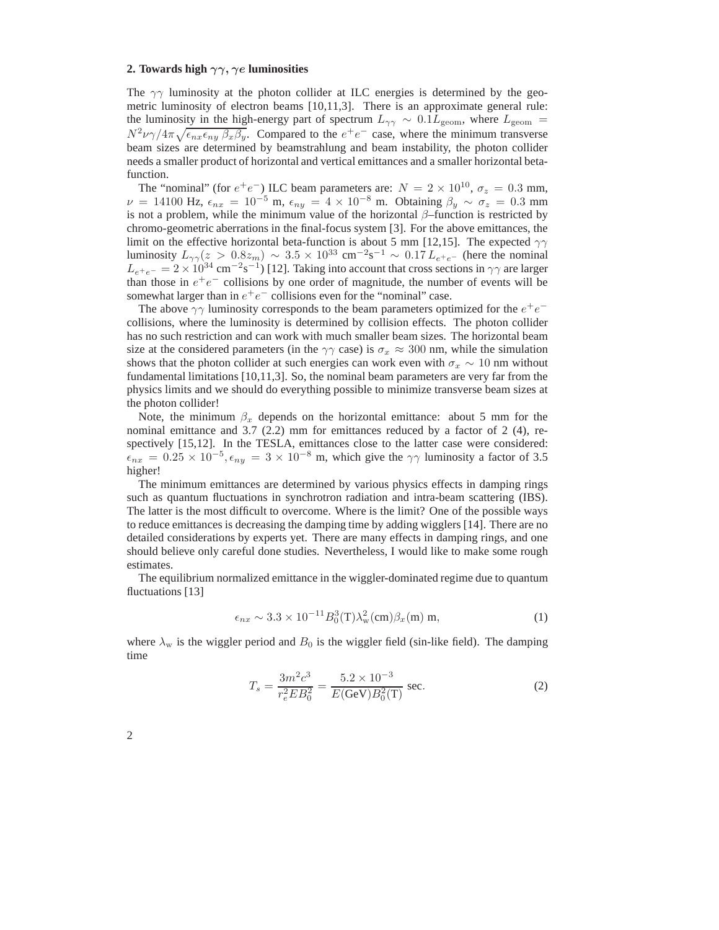# **2. Towards high** γγ, γe **luminosities**

The  $\gamma\gamma$  luminosity at the photon collider at ILC energies is determined by the geometric luminosity of electron beams [10,11,3]. There is an approximate general rule: the luminosity in the high-energy part of spectrum  $L_{\gamma\gamma} \sim 0.1 L_{\text{geom}}$ , where  $L_{\text{geom}} =$  $N^2\nu\gamma/4\pi\sqrt{\epsilon_{nx}\epsilon_{ny}\beta_x\beta_y}$ . Compared to the  $e^+e^-$  case, where the minimum transverse beam sizes are determined by beamstrahlung and beam instability, the photon collider needs a smaller product of horizontal and vertical emittances and a smaller horizontal betafunction.

The "nominal" (for  $e^+e^-$ ) ILC beam parameters are:  $N = 2 \times 10^{10}$ ,  $\sigma_z = 0.3$  mm,  $\nu = 14100$  Hz,  $\epsilon_{nx} = 10^{-5}$  m,  $\epsilon_{ny} = 4 \times 10^{-8}$  m. Obtaining  $\beta_y \sim \sigma_z = 0.3$  mm is not a problem, while the minimum value of the horizontal  $\beta$ –function is restricted by chromo-geometric aberrations in the final-focus system [3]. For the above emittances, the limit on the effective horizontal beta-function is about 5 mm [12,15]. The expected  $\gamma\gamma$ luminosity  $L_{\gamma\gamma}(z > 0.8z_m) \sim 3.5 \times 10^{33} \text{ cm}^{-2} \text{s}^{-1} \sim 0.17 L_{e^+e^-}$  (here the nominal  $L_{e^+e^-} = 2 \times 10^{34} \text{ cm}^{-2} \text{s}^{-1}$ ) [12]. Taking into account that cross sections in  $\gamma \gamma$  are larger than those in  $e^+e^-$  collisions by one order of magnitude, the number of events will be somewhat larger than in  $e^+e^-$  collisions even for the "nominal" case.

The above  $\gamma\gamma$  luminosity corresponds to the beam parameters optimized for the  $e^+e^$ collisions, where the luminosity is determined by collision effects. The photon collider has no such restriction and can work with much smaller beam sizes. The horizontal beam size at the considered parameters (in the  $\gamma\gamma$  case) is  $\sigma_x \approx 300$  nm, while the simulation shows that the photon collider at such energies can work even with  $\sigma_x \sim 10$  nm without fundamental limitations [10,11,3]. So, the nominal beam parameters are very far from the physics limits and we should do everything possible to minimize transverse beam sizes at the photon collider!

Note, the minimum  $\beta_x$  depends on the horizontal emittance: about 5 mm for the nominal emittance and 3.7 (2.2) mm for emittances reduced by a factor of 2 (4), respectively [15,12]. In the TESLA, emittances close to the latter case were considered:  $\epsilon_{nx} = 0.25 \times 10^{-5}, \epsilon_{ny} = 3 \times 10^{-8}$  m, which give the  $\gamma \gamma$  luminosity a factor of 3.5 higher!

The minimum emittances are determined by various physics effects in damping rings such as quantum fluctuations in synchrotron radiation and intra-beam scattering (IBS). The latter is the most difficult to overcome. Where is the limit? One of the possible ways to reduce emittances is decreasing the damping time by adding wigglers [14]. There are no detailed considerations by experts yet. There are many effects in damping rings, and one should believe only careful done studies. Nevertheless, I would like to make some rough estimates.

The equilibrium normalized emittance in the wiggler-dominated regime due to quantum fluctuations [13]

$$
\epsilon_{nx} \sim 3.3 \times 10^{-11} B_0^3(\mathbf{T}) \lambda_\mathbf{w}^2(\mathbf{cm}) \beta_x(\mathbf{m}) \mathbf{m},\tag{1}
$$

where  $\lambda_w$  is the wiggler period and  $B_0$  is the wiggler field (sin-like field). The damping time

$$
T_s = \frac{3m^2c^3}{r_e^2EB_0^2} = \frac{5.2 \times 10^{-3}}{E(\text{GeV})B_0^2(\text{T})} \text{ sec.}
$$
 (2)

2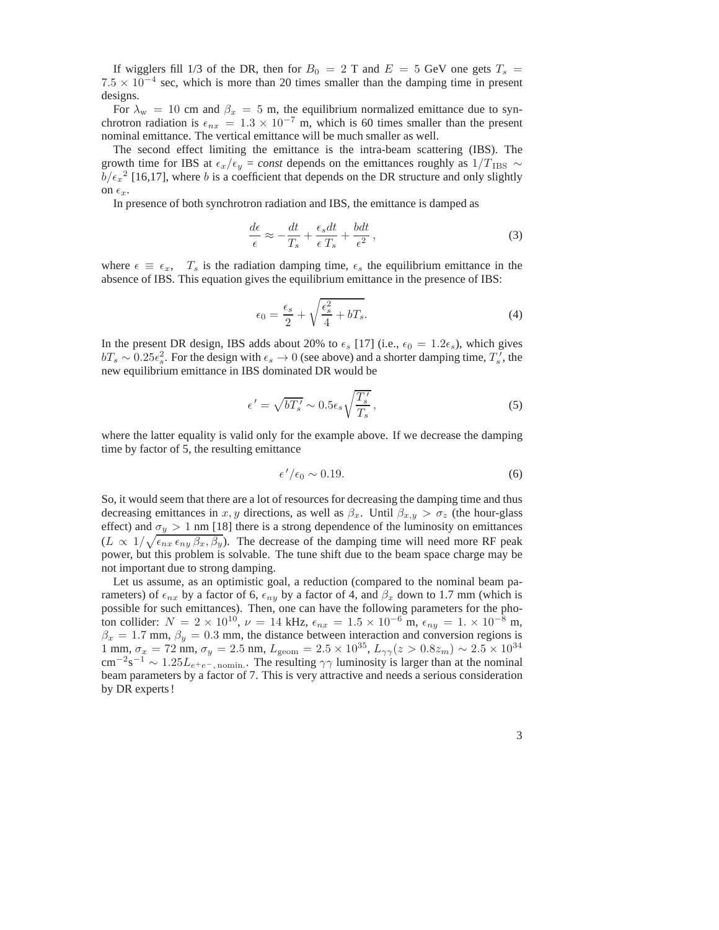If wigglers fill 1/3 of the DR, then for  $B_0 = 2$  T and  $E = 5$  GeV one gets  $T_s =$  $7.5 \times 10^{-4}$  sec, which is more than 20 times smaller than the damping time in present designs.

For  $\lambda_w = 10$  cm and  $\beta_x = 5$  m, the equilibrium normalized emittance due to synchrotron radiation is  $\epsilon_{nx} = 1.3 \times 10^{-7}$  m, which is 60 times smaller than the present nominal emittance. The vertical emittance will be much smaller as well.

The second effect limiting the emittance is the intra-beam scattering (IBS). The growth time for IBS at  $\epsilon_x/\epsilon_y = const$  depends on the emittances roughly as 1/T<sub>IBS</sub> ∼  $b/\epsilon_x^2$  [16,17], where b is a coefficient that depends on the DR structure and only slightly on  $\epsilon_x$ .

In presence of both synchrotron radiation and IBS, the emittance is damped as

$$
\frac{d\epsilon}{\epsilon} \approx -\frac{dt}{T_s} + \frac{\epsilon_s dt}{\epsilon T_s} + \frac{bdt}{\epsilon^2},\tag{3}
$$

where  $\epsilon \equiv \epsilon_x$ ,  $T_s$  is the radiation damping time,  $\epsilon_s$  the equilibrium emittance in the absence of IBS. This equation gives the equilibrium emittance in the presence of IBS:

$$
\epsilon_0 = \frac{\epsilon_s}{2} + \sqrt{\frac{\epsilon_s^2}{4} + bT_s}.\tag{4}
$$

In the present DR design, IBS adds about 20% to  $\epsilon_s$  [17] (i.e.,  $\epsilon_0 = 1.2\epsilon_s$ ), which gives  $bT_s \sim 0.25\epsilon_s^2$ . For the design with  $\epsilon_s \to 0$  (see above) and a shorter damping time,  $T_s^{\gamma}$ , the new equilibrium emittance in IBS dominated DR would be

$$
\epsilon' = \sqrt{bT'_s} \sim 0.5 \epsilon_s \sqrt{\frac{T'_s}{T_s}},\tag{5}
$$

where the latter equality is valid only for the example above. If we decrease the damping time by factor of 5, the resulting emittance

$$
\epsilon'/\epsilon_0 \sim 0.19. \tag{6}
$$

So, it would seem that there are a lot of resources for decreasing the damping time and thus decreasing emittances in x, y directions, as well as  $\beta_x$ . Until  $\beta_{x,y} > \sigma_z$  (the hour-glass effect) and  $\sigma_y > 1$  nm [18] there is a strong dependence of the luminosity on emittances  $(L \propto 1/\sqrt{\epsilon_{nx} \epsilon_{ny} \beta_x, \beta_y})$ . The decrease of the damping time will need more RF peak power, but this problem is solvable. The tune shift due to the beam space charge may be not important due to strong damping.

Let us assume, as an optimistic goal, a reduction (compared to the nominal beam parameters) of  $\epsilon_{nx}$  by a factor of 6,  $\epsilon_{ny}$  by a factor of 4, and  $\beta_x$  down to 1.7 mm (which is possible for such emittances). Then, one can have the following parameters for the photon collider:  $N = 2 \times 10^{10}$ ,  $\nu = 14$  kHz,  $\epsilon_{nx} = 1.5 \times 10^{-6}$  m,  $\epsilon_{ny} = 1. \times 10^{-8}$  m,  $\beta_x = 1.7$  mm,  $\beta_y = 0.3$  mm, the distance between interaction and conversion regions is 1 mm,  $\sigma_x = 72$  nm,  $\sigma_y = 2.5$  nm,  $L_{\text{geom}} = 2.5 \times 10^{35}$ ,  $L_{\gamma\gamma}(z > 0.8z_m) \sim 2.5 \times 10^{34}$ cm<sup>-2</sup>s<sup>-1</sup> ~ 1.25 $L_{e^+e^-}$ , nomin. The resulting  $\gamma\gamma$  luminosity is larger than at the nominal beam parameters by a factor of 7. This is very attractive and needs a serious consideration by DR experts !

3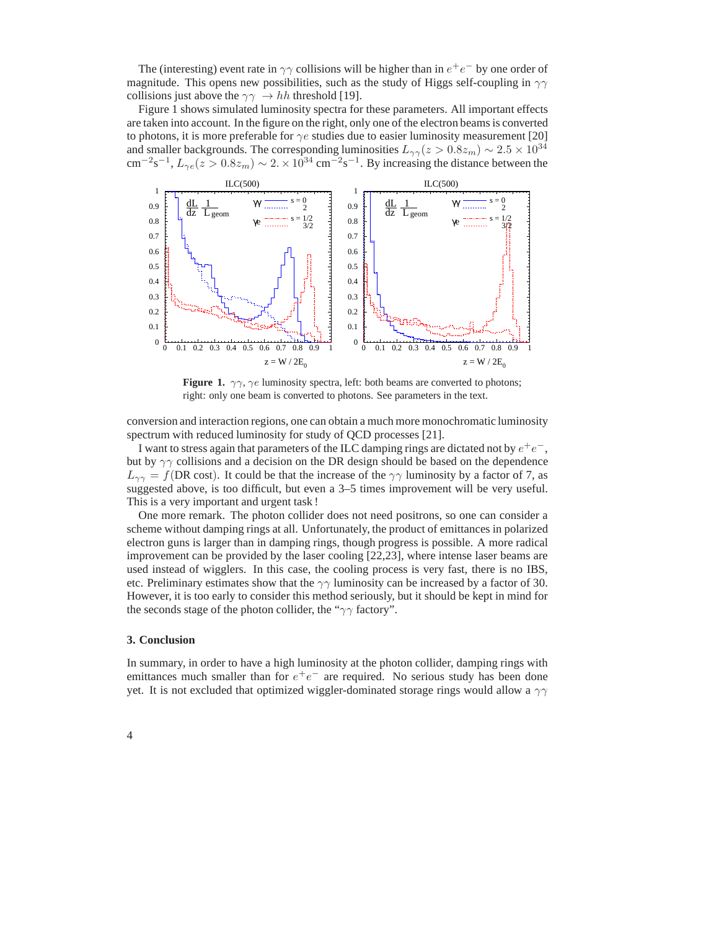The (interesting) event rate in  $\gamma\gamma$  collisions will be higher than in  $e^+e^-$  by one order of magnitude. This opens new possibilities, such as the study of Higgs self-coupling in  $\gamma\gamma$ collisions just above the  $\gamma\gamma \to hh$  threshold [19].

Figure 1 shows simulated luminosity spectra for these parameters. All important effects are taken into account. In the figure on the right, only one of the electron beams is converted to photons, it is more preferable for  $\gamma e$  studies due to easier luminosity measurement [20] and smaller backgrounds. The corresponding luminosities  $L_{\gamma\gamma}(z > 0.8z_m) \sim 2.5 \times 10^{34}$ cm<sup>-2</sup>s<sup>-1</sup>,  $L_{\gamma e}(z > 0.8z_m) \sim 2. \times 10^{34}$  cm<sup>-2</sup>s<sup>-1</sup>. By increasing the distance between the



**Figure 1.**  $\gamma\gamma$ ,  $\gamma e$  luminosity spectra, left: both beams are converted to photons; right: only one beam is converted to photons. See parameters in the text.

conversion and interaction regions, one can obtain a much more monochromatic luminosity spectrum with reduced luminosity for study of QCD processes [21].

I want to stress again that parameters of the ILC damping rings are dictated not by  $e^+e^-,$ but by  $\gamma\gamma$  collisions and a decision on the DR design should be based on the dependence  $L_{\gamma\gamma} = f(DR \text{ cost})$ . It could be that the increase of the  $\gamma\gamma$  luminosity by a factor of 7, as suggested above, is too difficult, but even a 3–5 times improvement will be very useful. This is a very important and urgent task !

One more remark. The photon collider does not need positrons, so one can consider a scheme without damping rings at all. Unfortunately, the product of emittances in polarized electron guns is larger than in damping rings, though progress is possible. A more radical improvement can be provided by the laser cooling [22,23], where intense laser beams are used instead of wigglers. In this case, the cooling process is very fast, there is no IBS, etc. Preliminary estimates show that the  $\gamma\gamma$  luminosity can be increased by a factor of 30. However, it is too early to consider this method seriously, but it should be kept in mind for the seconds stage of the photon collider, the " $\gamma\gamma$  factory".

## **3. Conclusion**

In summary, in order to have a high luminosity at the photon collider, damping rings with emittances much smaller than for  $e^+e^-$  are required. No serious study has been done yet. It is not excluded that optimized wiggler-dominated storage rings would allow a  $\gamma\gamma$